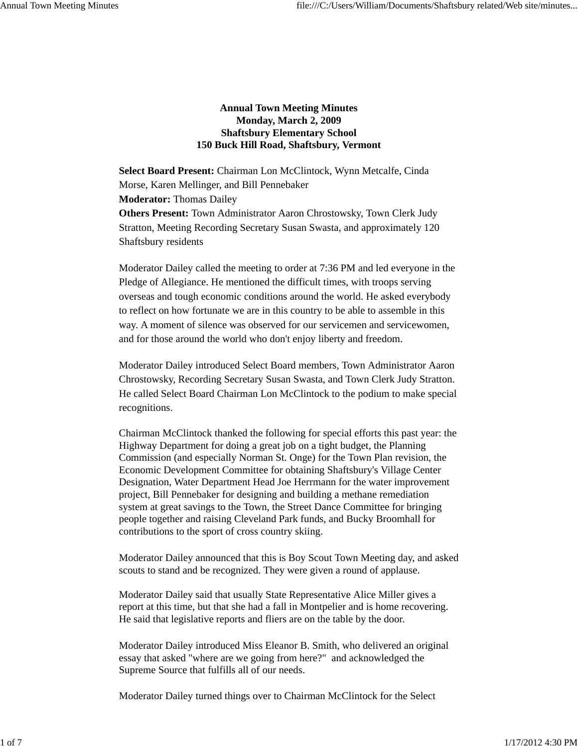## **Annual Town Meeting Minutes Monday, March 2, 2009 Shaftsbury Elementary School 150 Buck Hill Road, Shaftsbury, Vermont**

**Select Board Present:** Chairman Lon McClintock, Wynn Metcalfe, Cinda Morse, Karen Mellinger, and Bill Pennebaker **Moderator:** Thomas Dailey **Others Present:** Town Administrator Aaron Chrostowsky, Town Clerk Judy Stratton, Meeting Recording Secretary Susan Swasta, and approximately 120 Shaftsbury residents

Moderator Dailey called the meeting to order at 7:36 PM and led everyone in the Pledge of Allegiance. He mentioned the difficult times, with troops serving overseas and tough economic conditions around the world. He asked everybody to reflect on how fortunate we are in this country to be able to assemble in this way. A moment of silence was observed for our servicemen and servicewomen, and for those around the world who don't enjoy liberty and freedom.

Moderator Dailey introduced Select Board members, Town Administrator Aaron Chrostowsky, Recording Secretary Susan Swasta, and Town Clerk Judy Stratton. He called Select Board Chairman Lon McClintock to the podium to make special recognitions.

Chairman McClintock thanked the following for special efforts this past year: the Highway Department for doing a great job on a tight budget, the Planning Commission (and especially Norman St. Onge) for the Town Plan revision, the Economic Development Committee for obtaining Shaftsbury's Village Center Designation, Water Department Head Joe Herrmann for the water improvement project, Bill Pennebaker for designing and building a methane remediation system at great savings to the Town, the Street Dance Committee for bringing people together and raising Cleveland Park funds, and Bucky Broomhall for contributions to the sport of cross country skiing.

Moderator Dailey announced that this is Boy Scout Town Meeting day, and asked scouts to stand and be recognized. They were given a round of applause.

Moderator Dailey said that usually State Representative Alice Miller gives a report at this time, but that she had a fall in Montpelier and is home recovering. He said that legislative reports and fliers are on the table by the door.

Moderator Dailey introduced Miss Eleanor B. Smith, who delivered an original essay that asked "where are we going from here?" and acknowledged the Supreme Source that fulfills all of our needs.

Moderator Dailey turned things over to Chairman McClintock for the Select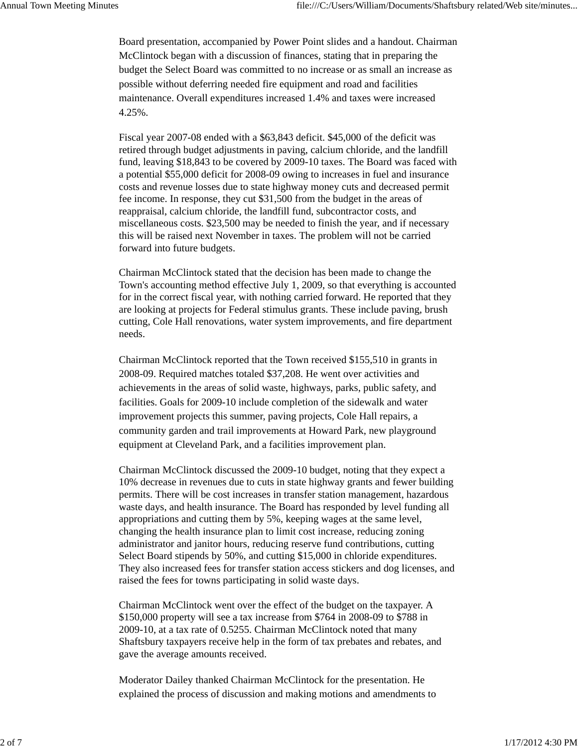Board presentation, accompanied by Power Point slides and a handout. Chairman McClintock began with a discussion of finances, stating that in preparing the budget the Select Board was committed to no increase or as small an increase as possible without deferring needed fire equipment and road and facilities maintenance. Overall expenditures increased 1.4% and taxes were increased 4.25%.

Fiscal year 2007-08 ended with a \$63,843 deficit. \$45,000 of the deficit was retired through budget adjustments in paving, calcium chloride, and the landfill fund, leaving \$18,843 to be covered by 2009-10 taxes. The Board was faced with a potential \$55,000 deficit for 2008-09 owing to increases in fuel and insurance costs and revenue losses due to state highway money cuts and decreased permit fee income. In response, they cut \$31,500 from the budget in the areas of reappraisal, calcium chloride, the landfill fund, subcontractor costs, and miscellaneous costs. \$23,500 may be needed to finish the year, and if necessary this will be raised next November in taxes. The problem will not be carried forward into future budgets.

Chairman McClintock stated that the decision has been made to change the Town's accounting method effective July 1, 2009, so that everything is accounted for in the correct fiscal year, with nothing carried forward. He reported that they are looking at projects for Federal stimulus grants. These include paving, brush cutting, Cole Hall renovations, water system improvements, and fire department needs.

Chairman McClintock reported that the Town received \$155,510 in grants in 2008-09. Required matches totaled \$37,208. He went over activities and achievements in the areas of solid waste, highways, parks, public safety, and facilities. Goals for 2009-10 include completion of the sidewalk and water improvement projects this summer, paving projects, Cole Hall repairs, a community garden and trail improvements at Howard Park, new playground equipment at Cleveland Park, and a facilities improvement plan.

Chairman McClintock discussed the 2009-10 budget, noting that they expect a 10% decrease in revenues due to cuts in state highway grants and fewer building permits. There will be cost increases in transfer station management, hazardous waste days, and health insurance. The Board has responded by level funding all appropriations and cutting them by 5%, keeping wages at the same level, changing the health insurance plan to limit cost increase, reducing zoning administrator and janitor hours, reducing reserve fund contributions, cutting Select Board stipends by 50%, and cutting \$15,000 in chloride expenditures. They also increased fees for transfer station access stickers and dog licenses, and raised the fees for towns participating in solid waste days.

Chairman McClintock went over the effect of the budget on the taxpayer. A \$150,000 property will see a tax increase from \$764 in 2008-09 to \$788 in 2009-10, at a tax rate of 0.5255. Chairman McClintock noted that many Shaftsbury taxpayers receive help in the form of tax prebates and rebates, and gave the average amounts received.

Moderator Dailey thanked Chairman McClintock for the presentation. He explained the process of discussion and making motions and amendments to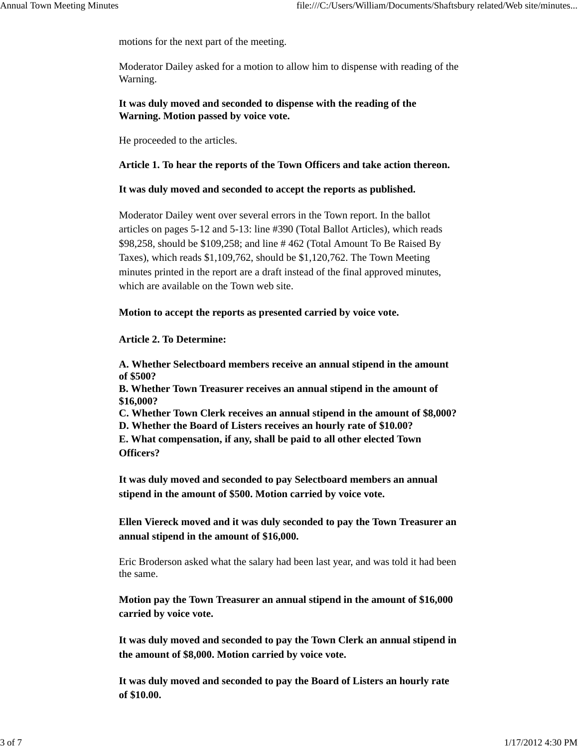motions for the next part of the meeting.

Moderator Dailey asked for a motion to allow him to dispense with reading of the Warning.

**It was duly moved and seconded to dispense with the reading of the Warning. Motion passed by voice vote.**

He proceeded to the articles.

### **Article 1. To hear the reports of the Town Officers and take action thereon.**

### **It was duly moved and seconded to accept the reports as published.**

Moderator Dailey went over several errors in the Town report. In the ballot articles on pages 5-12 and 5-13: line #390 (Total Ballot Articles), which reads \$98,258, should be \$109,258; and line # 462 (Total Amount To Be Raised By Taxes), which reads \$1,109,762, should be \$1,120,762. The Town Meeting minutes printed in the report are a draft instead of the final approved minutes, which are available on the Town web site.

**Motion to accept the reports as presented carried by voice vote.**

### **Article 2. To Determine:**

**A. Whether Selectboard members receive an annual stipend in the amount of \$500?**

**B. Whether Town Treasurer receives an annual stipend in the amount of \$16,000?**

**C. Whether Town Clerk receives an annual stipend in the amount of \$8,000? D. Whether the Board of Listers receives an hourly rate of \$10.00?**

**E. What compensation, if any, shall be paid to all other elected Town Officers?**

**It was duly moved and seconded to pay Selectboard members an annual stipend in the amount of \$500. Motion carried by voice vote.**

**Ellen Viereck moved and it was duly seconded to pay the Town Treasurer an annual stipend in the amount of \$16,000.**

Eric Broderson asked what the salary had been last year, and was told it had been the same.

**Motion pay the Town Treasurer an annual stipend in the amount of \$16,000 carried by voice vote.**

**It was duly moved and seconded to pay the Town Clerk an annual stipend in the amount of \$8,000. Motion carried by voice vote.**

**It was duly moved and seconded to pay the Board of Listers an hourly rate of \$10.00.**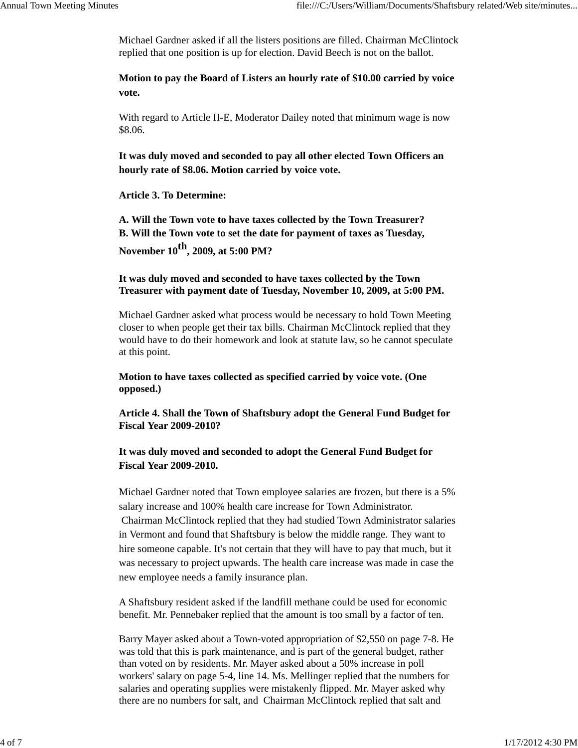Michael Gardner asked if all the listers positions are filled. Chairman McClintock replied that one position is up for election. David Beech is not on the ballot.

**Motion to pay the Board of Listers an hourly rate of \$10.00 carried by voice vote.**

With regard to Article II-E, Moderator Dailey noted that minimum wage is now \$8.06.

**It was duly moved and seconded to pay all other elected Town Officers an hourly rate of \$8.06. Motion carried by voice vote.**

**Article 3. To Determine:**

**A. Will the Town vote to have taxes collected by the Town Treasurer? B. Will the Town vote to set the date for payment of taxes as Tuesday, November 10th, 2009, at 5:00 PM?**

## **It was duly moved and seconded to have taxes collected by the Town Treasurer with payment date of Tuesday, November 10, 2009, at 5:00 PM.**

Michael Gardner asked what process would be necessary to hold Town Meeting closer to when people get their tax bills. Chairman McClintock replied that they would have to do their homework and look at statute law, so he cannot speculate at this point.

**Motion to have taxes collected as specified carried by voice vote. (One opposed.)**

**Article 4. Shall the Town of Shaftsbury adopt the General Fund Budget for Fiscal Year 2009-2010?**

# **It was duly moved and seconded to adopt the General Fund Budget for Fiscal Year 2009-2010.**

Michael Gardner noted that Town employee salaries are frozen, but there is a 5% salary increase and 100% health care increase for Town Administrator. Chairman McClintock replied that they had studied Town Administrator salaries in Vermont and found that Shaftsbury is below the middle range. They want to hire someone capable. It's not certain that they will have to pay that much, but it was necessary to project upwards. The health care increase was made in case the new employee needs a family insurance plan.

A Shaftsbury resident asked if the landfill methane could be used for economic benefit. Mr. Pennebaker replied that the amount is too small by a factor of ten.

Barry Mayer asked about a Town-voted appropriation of \$2,550 on page 7-8. He was told that this is park maintenance, and is part of the general budget, rather than voted on by residents. Mr. Mayer asked about a 50% increase in poll workers' salary on page 5-4, line 14. Ms. Mellinger replied that the numbers for salaries and operating supplies were mistakenly flipped. Mr. Mayer asked why there are no numbers for salt, and Chairman McClintock replied that salt and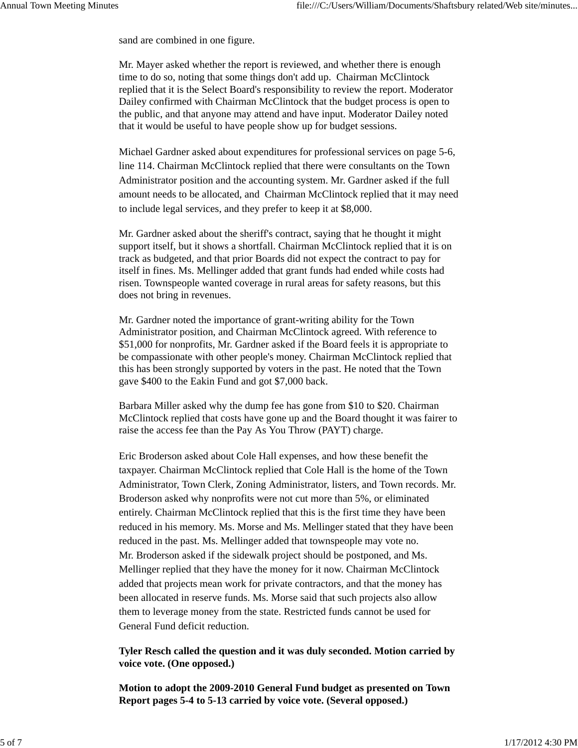sand are combined in one figure.

Mr. Mayer asked whether the report is reviewed, and whether there is enough time to do so, noting that some things don't add up. Chairman McClintock replied that it is the Select Board's responsibility to review the report. Moderator Dailey confirmed with Chairman McClintock that the budget process is open to the public, and that anyone may attend and have input. Moderator Dailey noted that it would be useful to have people show up for budget sessions.

Michael Gardner asked about expenditures for professional services on page 5-6, line 114. Chairman McClintock replied that there were consultants on the Town Administrator position and the accounting system. Mr. Gardner asked if the full amount needs to be allocated, and Chairman McClintock replied that it may need to include legal services, and they prefer to keep it at \$8,000.

Mr. Gardner asked about the sheriff's contract, saying that he thought it might support itself, but it shows a shortfall. Chairman McClintock replied that it is on track as budgeted, and that prior Boards did not expect the contract to pay for itself in fines. Ms. Mellinger added that grant funds had ended while costs had risen. Townspeople wanted coverage in rural areas for safety reasons, but this does not bring in revenues.

Mr. Gardner noted the importance of grant-writing ability for the Town Administrator position, and Chairman McClintock agreed. With reference to \$51,000 for nonprofits, Mr. Gardner asked if the Board feels it is appropriate to be compassionate with other people's money. Chairman McClintock replied that this has been strongly supported by voters in the past. He noted that the Town gave \$400 to the Eakin Fund and got \$7,000 back.

Barbara Miller asked why the dump fee has gone from \$10 to \$20. Chairman McClintock replied that costs have gone up and the Board thought it was fairer to raise the access fee than the Pay As You Throw (PAYT) charge.

Eric Broderson asked about Cole Hall expenses, and how these benefit the taxpayer. Chairman McClintock replied that Cole Hall is the home of the Town Administrator, Town Clerk, Zoning Administrator, listers, and Town records. Mr. Broderson asked why nonprofits were not cut more than 5%, or eliminated entirely. Chairman McClintock replied that this is the first time they have been reduced in his memory. Ms. Morse and Ms. Mellinger stated that they have been reduced in the past. Ms. Mellinger added that townspeople may vote no. Mr. Broderson asked if the sidewalk project should be postponed, and Ms. Mellinger replied that they have the money for it now. Chairman McClintock added that projects mean work for private contractors, and that the money has been allocated in reserve funds. Ms. Morse said that such projects also allow them to leverage money from the state. Restricted funds cannot be used for General Fund deficit reduction.

## **Tyler Resch called the question and it was duly seconded. Motion carried by voice vote. (One opposed.)**

**Motion to adopt the 2009-2010 General Fund budget as presented on Town Report pages 5-4 to 5-13 carried by voice vote. (Several opposed.)**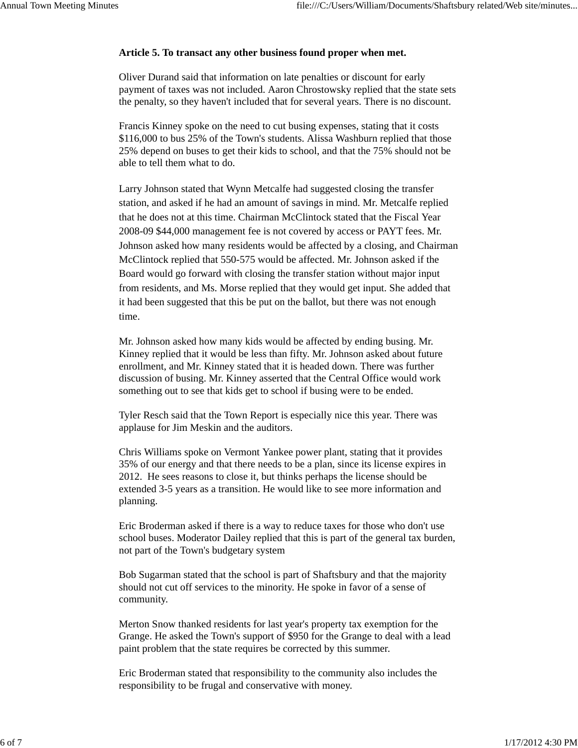## **Article 5. To transact any other business found proper when met.**

Oliver Durand said that information on late penalties or discount for early payment of taxes was not included. Aaron Chrostowsky replied that the state sets the penalty, so they haven't included that for several years. There is no discount.

Francis Kinney spoke on the need to cut busing expenses, stating that it costs \$116,000 to bus 25% of the Town's students. Alissa Washburn replied that those 25% depend on buses to get their kids to school, and that the 75% should not be able to tell them what to do.

Larry Johnson stated that Wynn Metcalfe had suggested closing the transfer station, and asked if he had an amount of savings in mind. Mr. Metcalfe replied that he does not at this time. Chairman McClintock stated that the Fiscal Year 2008-09 \$44,000 management fee is not covered by access or PAYT fees. Mr. Johnson asked how many residents would be affected by a closing, and Chairman McClintock replied that 550-575 would be affected. Mr. Johnson asked if the Board would go forward with closing the transfer station without major input from residents, and Ms. Morse replied that they would get input. She added that it had been suggested that this be put on the ballot, but there was not enough time.

Mr. Johnson asked how many kids would be affected by ending busing. Mr. Kinney replied that it would be less than fifty. Mr. Johnson asked about future enrollment, and Mr. Kinney stated that it is headed down. There was further discussion of busing. Mr. Kinney asserted that the Central Office would work something out to see that kids get to school if busing were to be ended.

Tyler Resch said that the Town Report is especially nice this year. There was applause for Jim Meskin and the auditors.

Chris Williams spoke on Vermont Yankee power plant, stating that it provides 35% of our energy and that there needs to be a plan, since its license expires in 2012. He sees reasons to close it, but thinks perhaps the license should be extended 3-5 years as a transition. He would like to see more information and planning.

Eric Broderman asked if there is a way to reduce taxes for those who don't use school buses. Moderator Dailey replied that this is part of the general tax burden, not part of the Town's budgetary system

Bob Sugarman stated that the school is part of Shaftsbury and that the majority should not cut off services to the minority. He spoke in favor of a sense of community.

Merton Snow thanked residents for last year's property tax exemption for the Grange. He asked the Town's support of \$950 for the Grange to deal with a lead paint problem that the state requires be corrected by this summer.

Eric Broderman stated that responsibility to the community also includes the responsibility to be frugal and conservative with money.